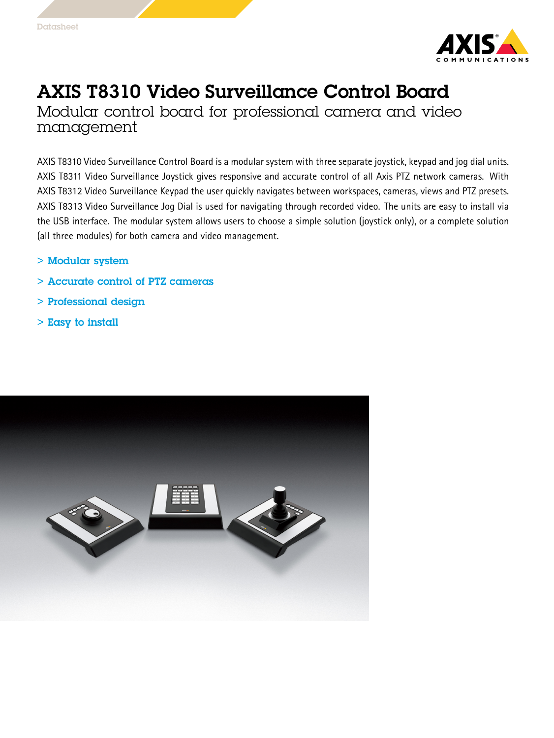

# AXIS T8310 Video Surveillance Control Board

Modular control board for professional camera and video management

AXIS T8310 Video Surveillance Control Board is <sup>a</sup> modular system with three separate joystick, keypad and jog dial units. AXIS T8311 Video Surveillance Joystick gives responsive and accurate control of all Axis PTZ network cameras. With AXIS T8312 Video Surveillance Keypad the user quickly navigates between workspaces, cameras, views and PTZ presets. AXIS T8313 Video Surveillance Jog Dial is used for navigating through recorded video. The units are easy to install via the USB interface. The modular system allows users to choose <sup>a</sup> simple solution (joystick only), or <sup>a</sup> complete solution (all three modules) for both camera and video management.

- > Modular system
- > Accurate control of PTZ cameras
- > Professional design
- > Easy to install